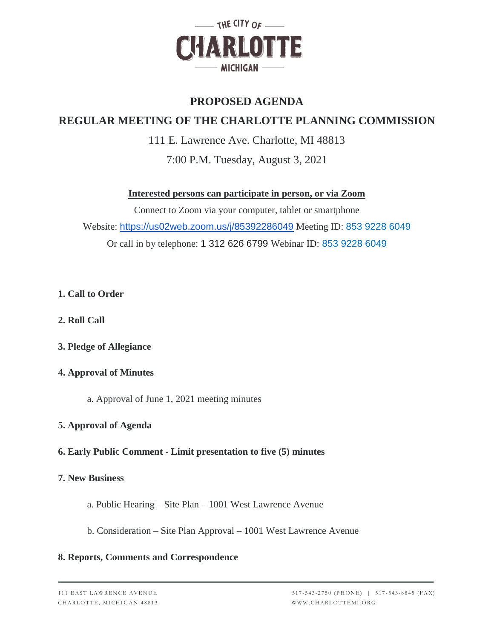

## **PROPOSED AGENDA**

# **REGULAR MEETING OF THE CHARLOTTE PLANNING COMMISSION**

111 E. Lawrence Ave. Charlotte, MI 48813 7:00 P.M. Tuesday, August 3, 2021

**Interested persons can participate in person, or via Zoom**

Connect to Zoom via your computer, tablet or smartphone Website: <https://us02web.zoom.us/j/85392286049> Meeting ID: 853 9228 6049 Or call in by telephone: 1 312 626 6799 Webinar ID: 853 9228 6049

- **1. Call to Order**
- **2. Roll Call**
- **3. Pledge of Allegiance**

## **4. Approval of Minutes**

a. Approval of June 1, 2021 meeting minutes

## **5. Approval of Agenda**

## **6. Early Public Comment - Limit presentation to five (5) minutes**

#### **7. New Business**

- a. Public Hearing Site Plan 1001 West Lawrence Avenue
- b. Consideration Site Plan Approval 1001 West Lawrence Avenue

#### **8. Reports, Comments and Correspondence**